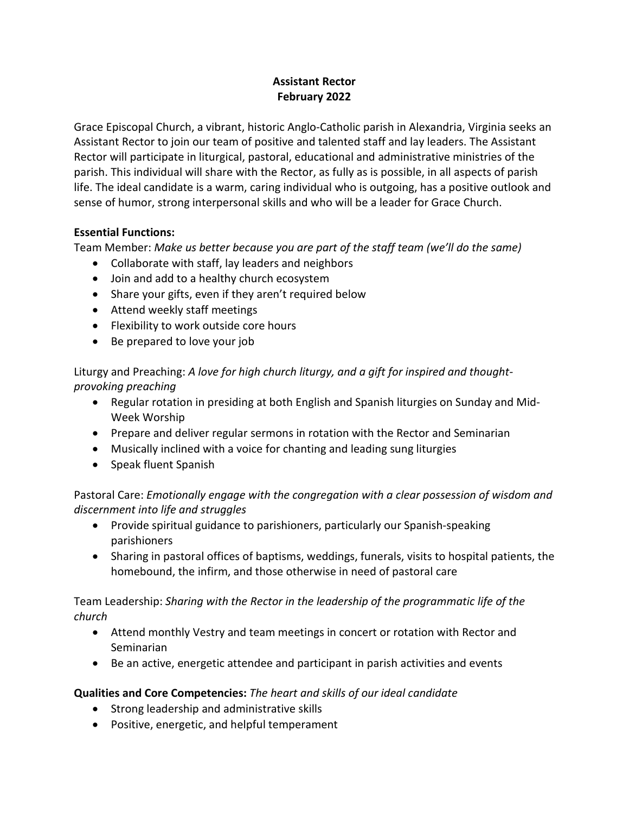# **Assistant Rector February 2022**

Grace Episcopal Church, a vibrant, historic Anglo-Catholic parish in Alexandria, Virginia seeks an Assistant Rector to join our team of positive and talented staff and lay leaders. The Assistant Rector will participate in liturgical, pastoral, educational and administrative ministries of the parish. This individual will share with the Rector, as fully as is possible, in all aspects of parish life. The ideal candidate is a warm, caring individual who is outgoing, has a positive outlook and sense of humor, strong interpersonal skills and who will be a leader for Grace Church.

### **Essential Functions:**

Team Member: *Make us better because you are part of the staff team (we'll do the same)*

- Collaborate with staff, lay leaders and neighbors
- Join and add to a healthy church ecosystem
- Share your gifts, even if they aren't required below
- Attend weekly staff meetings
- Flexibility to work outside core hours
- Be prepared to love your job

Liturgy and Preaching: *A love for high church liturgy, and a gift for inspired and thoughtprovoking preaching*

- Regular rotation in presiding at both English and Spanish liturgies on Sunday and Mid-Week Worship
- Prepare and deliver regular sermons in rotation with the Rector and Seminarian
- Musically inclined with a voice for chanting and leading sung liturgies
- Speak fluent Spanish

Pastoral Care: *Emotionally engage with the congregation with a clear possession of wisdom and discernment into life and struggles*

- Provide spiritual guidance to parishioners, particularly our Spanish-speaking parishioners
- Sharing in pastoral offices of baptisms, weddings, funerals, visits to hospital patients, the homebound, the infirm, and those otherwise in need of pastoral care

Team Leadership: *Sharing with the Rector in the leadership of the programmatic life of the church*

- Attend monthly Vestry and team meetings in concert or rotation with Rector and Seminarian
- Be an active, energetic attendee and participant in parish activities and events

# **Qualities and Core Competencies:** *The heart and skills of our ideal candidate*

- Strong leadership and administrative skills
- Positive, energetic, and helpful temperament